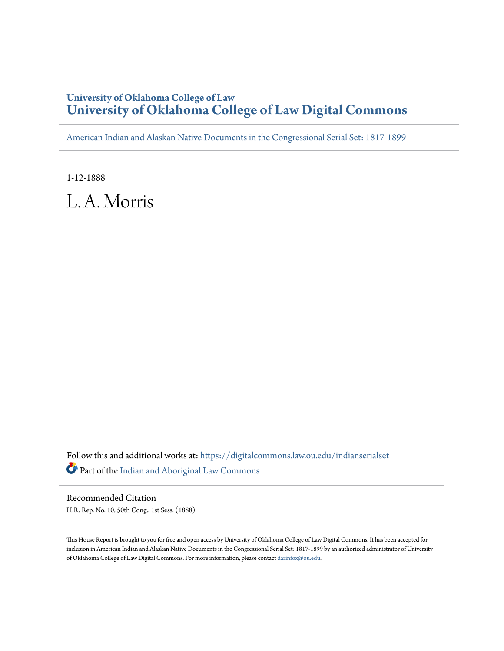## **University of Oklahoma College of Law [University of Oklahoma College of Law Digital Commons](https://digitalcommons.law.ou.edu?utm_source=digitalcommons.law.ou.edu%2Findianserialset%2F4263&utm_medium=PDF&utm_campaign=PDFCoverPages)**

[American Indian and Alaskan Native Documents in the Congressional Serial Set: 1817-1899](https://digitalcommons.law.ou.edu/indianserialset?utm_source=digitalcommons.law.ou.edu%2Findianserialset%2F4263&utm_medium=PDF&utm_campaign=PDFCoverPages)

1-12-1888

L. A. Morris

Follow this and additional works at: [https://digitalcommons.law.ou.edu/indianserialset](https://digitalcommons.law.ou.edu/indianserialset?utm_source=digitalcommons.law.ou.edu%2Findianserialset%2F4263&utm_medium=PDF&utm_campaign=PDFCoverPages) Part of the [Indian and Aboriginal Law Commons](http://network.bepress.com/hgg/discipline/894?utm_source=digitalcommons.law.ou.edu%2Findianserialset%2F4263&utm_medium=PDF&utm_campaign=PDFCoverPages)

Recommended Citation H.R. Rep. No. 10, 50th Cong., 1st Sess. (1888)

This House Report is brought to you for free and open access by University of Oklahoma College of Law Digital Commons. It has been accepted for inclusion in American Indian and Alaskan Native Documents in the Congressional Serial Set: 1817-1899 by an authorized administrator of University of Oklahoma College of Law Digital Commons. For more information, please contact [darinfox@ou.edu](mailto:darinfox@ou.edu).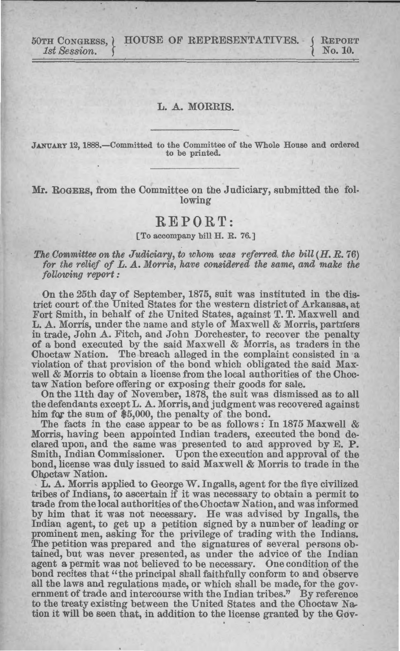50TH CoNGRESS,} HOUSE OF REPRESENTATIVES. *1st Session.*  { REPORT No. 10.

## L. A. MORRIS.

JANUARY 12, 1888.-Committed to the Committee of the Whole House and ordered to be printed.

Mr. RoGERS, from the Committee on the Judiciary, submitted the following

## **REPORT:**

## [To accompany bill H. R. 76.]

The Committee on the Judiciary, to whom was referred, the bill  $(H, R, 76)$ *for the relief of L.A. Morris, have considered the same, and make the following report :* 

On the 25th day of September, 1875, suit was instituted in the district court of the United States for the western district of Arkansas, at Fort Smith, in behalf of the United States, against T. T. Maxwell and L. A. Morris, under the name and style of Maxwell & Morris, partners in trade, John A. Fitch, and John Dorchester, to recover the penalty of a bond executed by the said Maxwell & Morris, as traders in the Choctaw Nation. The breach alleged in the complaint consisted in a violation of that provision of the bond which obligated the said Maxwell & Morris to obtain a license from the local authorities of the Choctaw Nation before offering or exposing their goods for sale.

On the 11th day of November, 1878, the suit was dismissed as to all the defendants except L. A. Morris, and judgment was recovered against him for the sum of \$5,000, the penalty of the bond.

The facts in the case appear to be as follows: In 1875 Maxwell  $\&$ Morris, having been appointed Indian traders, executed the bond declared upon, and the same was presented to and approved by E. **P.**  Smith, Indian Commissioner. Upon the execution and approval of the bond, license was duly issued to said Maxwell & Morris to trade in the Choctaw Nation.

L. A. Morris applied to George W. Ingalls, agent for the five civilized tribes of Indians, to ascertain if it was necessary to obtain a permit to trade from the local authorities of the Choctaw Nation, and was informed by him that it was not necessary. He was advised by Ingalls, the Indian agent, to get up a petition signed by a number of leading or prominent men, asking for the privilege of trading with the Indians. The petition was prepared and the signatures of several persons obtained, but was never presented, as under the advice of the Indian agent a permit was not believed to be necessary. One condition of the bond recites that "the principal shall faithfully conform to and observe all the laws and regulations made, or which shall be made, for the government of trade and intercourse with the Indian tribes." By reference to the treaty existing between the United States and the Choctaw Nation it will be seen that, in addition to the license granted by the Gov